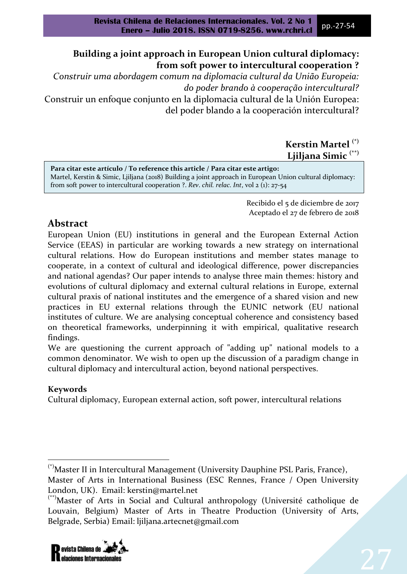# **Building a joint approach in European Union cultural diplomacy: from soft power to intercultural cooperation ?**

*Construir uma abordagem comum na diplomacia cultural da União Europeia: do poder brando à cooperação intercultural?*

Construir un enfoque conjunto en la diplomacia cultural de la Unión Europea: del poder blando a la cooperación intercultural?

### **Kerstin Martel (\*) Ljiljana Simic (\*\*)**

**Para citar este artículo / To reference this article / Para citar este artigo:**  Martel, Kerstin & Simic, Ljiljana (2018) Building a joint approach in European Union cultural diplomacy: from soft power to intercultural cooperation ?. *Rev*. *chil. relac. Int*, vol 2 (1): 27-54

> Recibido el 5 de diciembre de 2017 Aceptado el 27 de febrero de 2018

# **Abstract**

European Union (EU) institutions in general and the European External Action Service (EEAS) in particular are working towards a new strategy on international cultural relations. How do European institutions and member states manage to cooperate, in a context of cultural and ideological difference, power discrepancies and national agendas? Our paper intends to analyse three main themes: history and evolutions of cultural diplomacy and external cultural relations in Europe, external cultural praxis of national institutes and the emergence of a shared vision and new practices in EU external relations through the EUNIC network (EU national institutes of culture. We are analysing conceptual coherence and consistency based on theoretical frameworks, underpinning it with empirical, qualitative research findings.

We are questioning the current approach of "adding up" national models to a common denominator. We wish to open up the discussion of a paradigm change in cultural diplomacy and intercultural action, beyond national perspectives.

## **Keywords**

 $\overline{\phantom{a}}$ 

Cultural diplomacy, European external action, soft power, intercultural relations

<sup>(\*\*)</sup>Master of Arts in Social and Cultural anthropology (Université catholique de Louvain, Belgium) Master of Arts in Theatre Production (University of Arts, Belgrade, Serbia) Email: ljiljana.artecnet@gmail.com



<sup>(\*)</sup>Master II in Intercultural Management (University Dauphine PSL Paris, France), Master of Arts in International Business (ESC Rennes, France / Open University London, UK). Email: kerstin@martel.net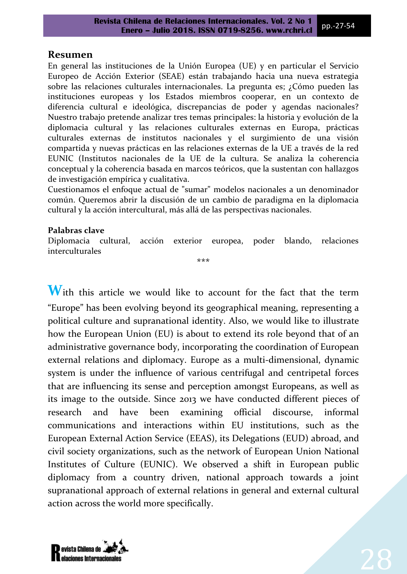### **Resumen**

En general las instituciones de la Unión Europea (UE) y en particular el Servicio Europeo de Acción Exterior (SEAE) están trabajando hacia una nueva estrategia sobre las relaciones culturales internacionales. La pregunta es; ¿Cómo pueden las instituciones europeas y los Estados miembros cooperar, en un contexto de diferencia cultural e ideológica, discrepancias de poder y agendas nacionales? Nuestro trabajo pretende analizar tres temas principales: la historia y evolución de la diplomacia cultural y las relaciones culturales externas en Europa, prácticas culturales externas de institutos nacionales y el surgimiento de una visión compartida y nuevas prácticas en las relaciones externas de la UE a través de la red EUNIC (Institutos nacionales de la UE de la cultura. Se analiza la coherencia conceptual y la coherencia basada en marcos teóricos, que la sustentan con hallazgos de investigación empírica y cualitativa.

Cuestionamos el enfoque actual de "sumar" modelos nacionales a un denominador común. Queremos abrir la discusión de un cambio de paradigma en la diplomacia cultural y la acción intercultural, más allá de las perspectivas nacionales.

#### **Palabras clave**

Diplomacia cultural, acción exterior europea, poder blando, relaciones interculturales

\*\*\*

With this article we would like to account for the fact that the term "Europe" has been evolving beyond its geographical meaning, representing a political culture and supranational identity. Also, we would like to illustrate how the European Union (EU) is about to extend its role beyond that of an administrative governance body, incorporating the coordination of European external relations and diplomacy. Europe as a multi-dimensional, dynamic system is under the influence of various centrifugal and centripetal forces that are influencing its sense and perception amongst Europeans, as well as its image to the outside. Since 2013 we have conducted different pieces of research and have been examining official discourse, informal communications and interactions within EU institutions, such as the European External Action Service (EEAS), its Delegations (EUD) abroad, and civil society organizations, such as the network of European Union National Institutes of Culture (EUNIC). We observed a shift in European public diplomacy from a country driven, national approach towards a joint supranational approach of external relations in general and external cultural action across the world more specifically.

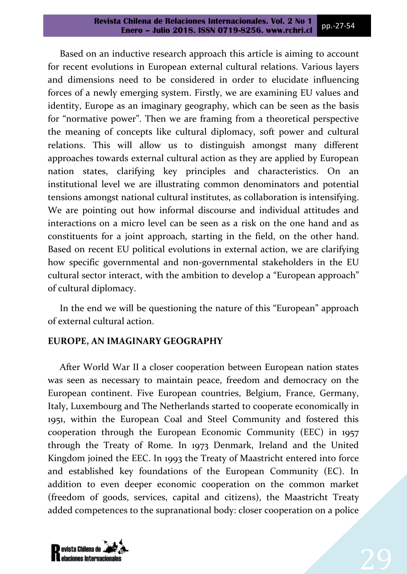Based on an inductive research approach this article is aiming to account for recent evolutions in European external cultural relations. Various layers and dimensions need to be considered in order to elucidate influencing forces of a newly emerging system. Firstly, we are examining EU values and identity, Europe as an imaginary geography, which can be seen as the basis for "normative power". Then we are framing from a theoretical perspective the meaning of concepts like cultural diplomacy, soft power and cultural relations. This will allow us to distinguish amongst many different approaches towards external cultural action as they are applied by European nation states, clarifying key principles and characteristics. On an institutional level we are illustrating common denominators and potential tensions amongst national cultural institutes, as collaboration is intensifying. We are pointing out how informal discourse and individual attitudes and interactions on a micro level can be seen as a risk on the one hand and as constituents for a joint approach*,* starting in the field, on the other hand. Based on recent EU political evolutions in external action, we are clarifying how specific governmental and non-governmental stakeholders in the EU cultural sector interact, with the ambition to develop a "European approach" of cultural diplomacy.

In the end we will be questioning the nature of this "European" approach of external cultural action.

### **EUROPE, AN IMAGINARY GEOGRAPHY**

After World War II a closer cooperation between European nation states was seen as necessary to maintain peace, freedom and democracy on the European continent. Five European countries, Belgium, France, Germany, Italy, Luxembourg and The Netherlands started to cooperate economically in 1951, within the European Coal and Steel Community and fostered this cooperation through the European Economic Community (EEC) in 1957 through the Treaty of Rome. In 1973 Denmark, Ireland and the United Kingdom joined the EEC. In 1993 the Treaty of Maastricht entered into force and established key foundations of the European Community (EC). In addition to even deeper economic cooperation on the common market (freedom of goods, services, capital and citizens), the Maastricht Treaty added competences to the supranational body: closer cooperation on a police

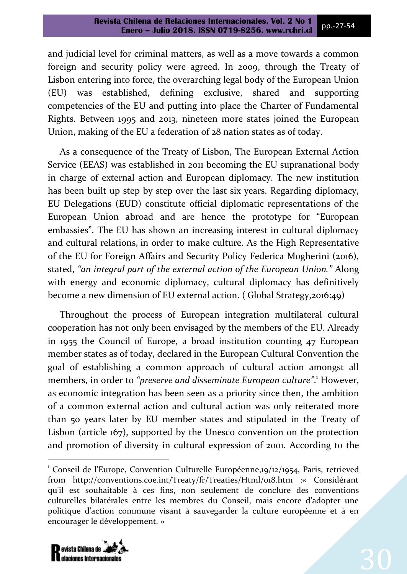and judicial level for criminal matters, as well as a move towards a common foreign and security policy were agreed. In 2009, through the Treaty of Lisbon entering into force, the overarching legal body of the European Union (EU) was established, defining exclusive, shared and supporting competencies of the EU and putting into place the Charter of Fundamental Rights. Between 1995 and 2013, nineteen more states joined the European Union, making of the EU a federation of 28 nation states as of today.

As a consequence of the Treaty of Lisbon, The European External Action Service (EEAS) was established in 2011 becoming the EU supranational body in charge of external action and European diplomacy. The new institution has been built up step by step over the last six years. Regarding diplomacy, EU Delegations (EUD) constitute official diplomatic representations of the European Union abroad and are hence the prototype for "European embassies". The EU has shown an increasing interest in cultural diplomacy and cultural relations, in order to make culture. As the High Representative of the EU for Foreign Affairs and Security Policy Federica Mogherini (2016), stated, *"an integral part of the external action of the European Union."* Along with energy and economic diplomacy, cultural diplomacy has definitively become a new dimension of EU external action. ( Global Strategy,2016:49)

Throughout the process of European integration multilateral cultural cooperation has not only been envisaged by the members of the EU. Already in 1955 the Council of Europe, a broad institution counting 47 European member states as of today, declared in the European Cultural Convention the goal of establishing a common approach of cultural action amongst all members, in order to *"preserve and disseminate European culture"*. <sup>1</sup> However, as economic integration has been seen as a priority since then, the ambition of a common external action and cultural action was only reiterated more than 50 years later by EU member states and stipulated in the Treaty of Lisbon (article 167), supported by the Unesco convention on the protection and promotion of diversity in cultural expression of 2001. According to the

<sup>&</sup>lt;sup>1</sup> Conseil de l'Europe, Convention Culturelle Européenne,19/12/1954, Paris, retrieved from http://conventions.coe.int/Treaty/fr/Treaties/Html/018.htm : « Considérant qu'il est souhaitable à ces fins, non seulement de conclure des conventions culturelles bilatérales entre les membres du Conseil, mais encore d'adopter une politique d'action commune visant à sauvegarder la culture européenne et à en encourager le développement. »



 $\overline{\phantom{a}}$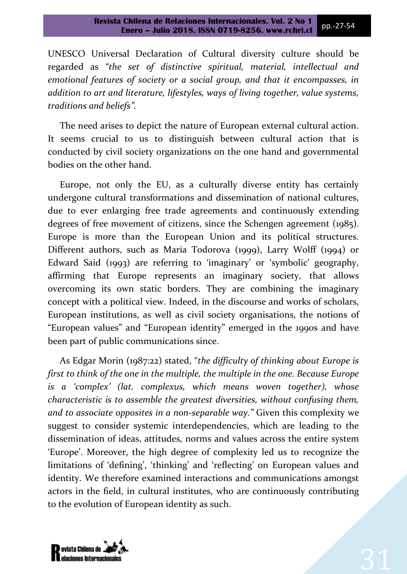UNESCO Universal Declaration of Cultural diversity culture should be regarded as *"the set of distinctive spiritual, material, intellectual and emotional features of society or a social group, and that it encompasses, in addition to art and literature, lifestyles, ways of living together, value systems, traditions and beliefs".* 

The need arises to depict the nature of European external cultural action. It seems crucial to us to distinguish between cultural action that is conducted by civil society organizations on the one hand and governmental bodies on the other hand.

Europe, not only the EU, as a culturally diverse entity has certainly undergone cultural transformations and dissemination of national cultures, due to ever enlarging free trade agreements and continuously extending degrees of free movement of citizens, since the Schengen agreement (1985). Europe is more than the European Union and its political structures. Different authors, such as Maria Todorova (1999), Larry Wolff (1994) or Edward Said  $(1993)$  are referring to 'imaginary' or 'symbolic' geography, affirming that Europe represents an imaginary society, that allows overcoming its own static borders. They are combining the imaginary concept with a political view. Indeed, in the discourse and works of scholars, European institutions, as well as civil society organisations, the notions of "European values" and "European identity" emerged in the 1990s and have been part of public communications since.

As Edgar Morin (1987:22) stated, "*the difficulty of thinking about Europe is first to think of the one in the multiple, the multiple in the one. Because Europe is a 'complex' (lat. complexus, which means woven together), whose characteristic is to assemble the greatest diversities, without confusing them, and to associate opposites in a non-separable way."* Given this complexity we suggest to consider systemic interdependencies, which are leading to the dissemination of ideas, attitudes, norms and values across the entire system 'Europe'. Moreover, the high degree of complexity led us to recognize the limitations of 'defining', 'thinking' and 'reflecting' on European values and identity. We therefore examined interactions and communications amongst actors in the field, in cultural institutes, who are continuously contributing to the evolution of European identity as such.

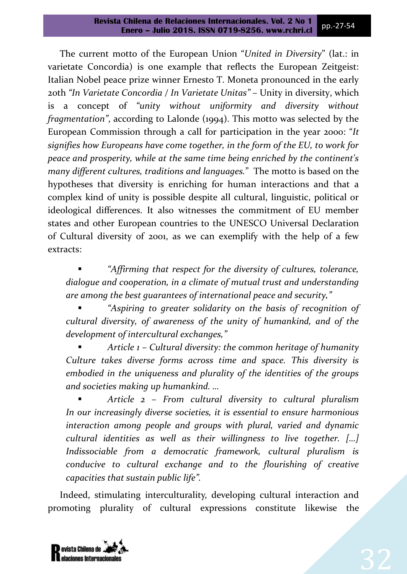The current motto of the European Union "*United in Diversity*" (lat.: in varietate Concordia) is one example that reflects the European Zeitgeist: Italian Nobel peace prize winner Ernesto T. Moneta pronounced in the early 20th *"In Varietate Concordia / In Varietate Unitas"* – Unity in diversity, which is a concept of *"unity without uniformity and diversity without fragmentation"*, according to Lalonde (1994). This motto was selected by the European Commission through a call for participation in the year 2000: "*It signifies how Europeans have come together, in the form of the EU, to work for peace and prosperity, while at the same time being enriched by the continent's many different cultures, traditions and languages.*" The motto is based on the hypotheses that diversity is enriching for human interactions and that a complex kind of unity is possible despite all cultural, linguistic, political or ideological differences. It also witnesses the commitment of EU member states and other European countries to the UNESCO Universal Declaration of Cultural diversity of 2001, as we can exemplify with the help of a few extracts:

 *"Affirming that respect for the diversity of cultures, tolerance, dialogue and cooperation, in a climate of mutual trust and understanding are among the best guarantees of international peace and security,"*

 *"Aspiring to greater solidarity on the basis of recognition of cultural diversity, of awareness of the unity of humankind, and of the development of intercultural exchanges,"*

 *Article 1 – Cultural diversity: the common heritage of humanity Culture takes diverse forms across time and space. This diversity is embodied in the uniqueness and plurality of the identities of the groups and societies making up humankind. …*

 *Article 2 – From cultural diversity to cultural pluralism In our increasingly diverse societies, it is essential to ensure harmonious interaction among people and groups with plural, varied and dynamic cultural identities as well as their willingness to live together. […] Indissociable from a democratic framework, cultural pluralism is conducive to cultural exchange and to the flourishing of creative capacities that sustain public life".* 

Indeed, stimulating interculturality, developing cultural interaction and promoting plurality of cultural expressions constitute likewise the

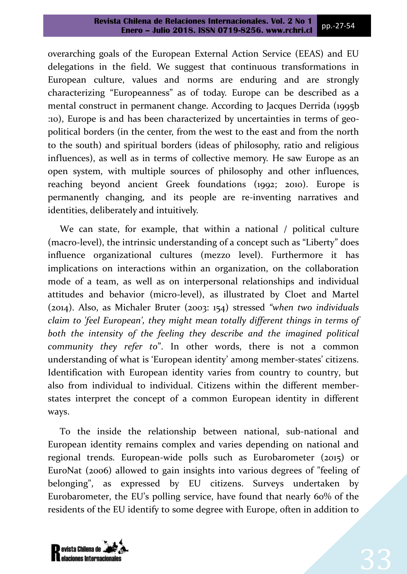overarching goals of the European External Action Service (EEAS) and EU delegations in the field. We suggest that continuous transformations in European culture, values and norms are enduring and are strongly characterizing "Europeanness" as of today. Europe can be described as a mental construct in permanent change. According to Jacques Derrida (1995b) ) Europe is and has been characterized by uncertainties in terms of geopolitical borders (in the center, from the west to the east and from the north to the south) and spiritual borders (ideas of philosophy, ratio and religious influences), as well as in terms of collective memory. He saw Europe as an open system, with multiple sources of philosophy and other influences, reaching beyond ancient Greek foundations (1992; 2010). Europe is permanently changing, and its people are re-inventing narratives and identities, deliberately and intuitively.

We can state, for example, that within a national / political culture (macro-level), the intrinsic understanding of a concept such as "Liberty" does influence organizational cultures (mezzo level). Furthermore it has implications on interactions within an organization, on the collaboration mode of a team, as well as on interpersonal relationships and individual attitudes and behavior (micro-level), as illustrated by Cloet and Martel (2014). Also, as Michaler Bruter (2003: 154) stressed *"when two individuals claim to 'feel European', they might mean totally different things in terms of*  both the intensity of the feeling they describe and the imagined political *community they refer to*". In other words, there is not a common understanding of what is 'European identity' among member-states' citizens. Identification with European identity varies from country to country, but also from individual to individual. Citizens within the different memberstates interpret the concept of a common European identity in different ways.

To the inside the relationship between national, sub-national and European identity remains complex and varies depending on national and regional trends. European-wide polls such as Eurobarometer (2015) or EuroNat (2006) allowed to gain insights into various degrees of "feeling of belonging", as expressed by EU citizens. Surveys undertaken by Eurobarometer, the EU's polling service, have found that nearly 60% of the residents of the EU identify to some degree with Europe, often in addition to

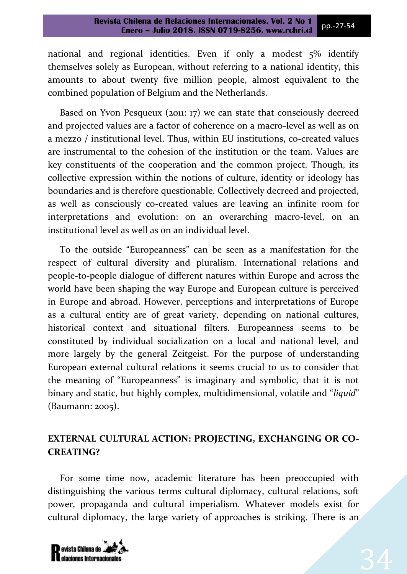national and regional identities. Even if only a modest 5% identify themselves solely as European, without referring to a national identity, this amounts to about twenty five million people, almost equivalent to the combined population of Belgium and the Netherlands.

Based on Yvon Pesqueux (2011: 17) we can state that consciously decreed and projected values are a factor of coherence on a macro-level as well as on a mezzo / institutional level. Thus, within EU institutions, co-created values are instrumental to the cohesion of the institution or the team. Values are key constituents of the cooperation and the common project. Though, its collective expression within the notions of culture, identity or ideology has boundaries and is therefore questionable. Collectively decreed and projected, as well as consciously co-created values are leaving an infinite room for interpretations and evolution: on an overarching macro-level, on an institutional level as well as on an individual level.

To the outside "Europeanness" can be seen as a manifestation for the respect of cultural diversity and pluralism. International relations and people-to-people dialogue of different natures within Europe and across the world have been shaping the way Europe and European culture is perceived in Europe and abroad. However, perceptions and interpretations of Europe as a cultural entity are of great variety, depending on national cultures, historical context and situational filters. Europeanness seems to be constituted by individual socialization on a local and national level, and more largely by the general Zeitgeist. For the purpose of understanding European external cultural relations it seems crucial to us to consider that the meaning of "Europeanness" is imaginary and symbolic, that it is not binary and static, but highly complex, multidimensional, volatile and "*liquid*" (Baumann: 2005).

# **EXTERNAL CULTURAL ACTION: PROJECTING, EXCHANGING OR CO-CREATING?**

For some time now, academic literature has been preoccupied with distinguishing the various terms cultural diplomacy, cultural relations, soft power, propaganda and cultural imperialism. Whatever models exist for cultural diplomacy, the large variety of approaches is striking. There is an

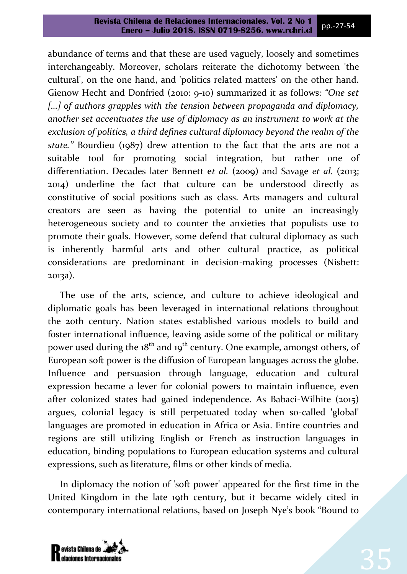abundance of terms and that these are used vaguely, loosely and sometimes interchangeably. Moreover, scholars reiterate the dichotomy between 'the cultural', on the one hand, and 'politics related matters' on the other hand. Gienow Hecht and Donfried (2010: 9-10) summarized it as follows*: "One set*  [...] of authors grapples with the tension between propaganda and diplomacy, *another set accentuates the use of diplomacy as an instrument to work at the exclusion of politics, a third defines cultural diplomacy beyond the realm of the state."* Bourdieu (1987) drew attention to the fact that the arts are not a suitable tool for promoting social integration, but rather one of differentiation. Decades later Bennett e*t al.* (2009) and Savage *et al.* (2013; 2014) underline the fact that culture can be understood directly as constitutive of social positions such as class. Arts managers and cultural creators are seen as having the potential to unite an increasingly heterogeneous society and to counter the anxieties that populists use to promote their goals. However, some defend that cultural diplomacy as such is inherently harmful arts and other cultural practice, as political considerations are predominant in decision-making processes (Nisbett: 2013a).

The use of the arts, science, and culture to achieve ideological and diplomatic goals has been leveraged in international relations throughout the 20th century. Nation states established various models to build and foster international influence, leaving aside some of the political or military power used during the  $18<sup>th</sup>$  and  $19<sup>th</sup>$  century. One example, amongst others, of European soft power is the diffusion of European languages across the globe. Influence and persuasion through language, education and cultural expression became a lever for colonial powers to maintain influence, even after colonized states had gained independence. As Babaci-Wilhite (2015) argues, colonial legacy is still perpetuated today when so-called 'global' languages are promoted in education in Africa or Asia. Entire countries and regions are still utilizing English or French as instruction languages in education, binding populations to European education systems and cultural expressions, such as literature, films or other kinds of media.

In diplomacy the notion of 'soft power' appeared for the first time in the United Kingdom in the late 19th century, but it became widely cited in contemporary international relations, based on Joseph Nye's book "Bound to

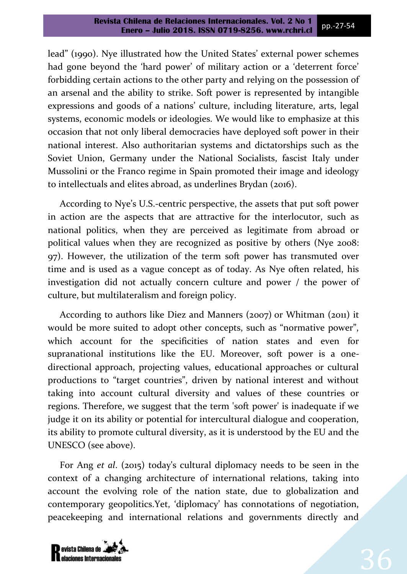lead" (1990). Nye illustrated how the United States' external power schemes had gone beyond the 'hard power' of military action or a 'deterrent force' forbidding certain actions to the other party and relying on the possession of an arsenal and the ability to strike. Soft power is represented by intangible expressions and goods of a nations' culture, including literature, arts, legal systems, economic models or ideologies. We would like to emphasize at this occasion that not only liberal democracies have deployed soft power in their national interest. Also authoritarian systems and dictatorships such as the Soviet Union, Germany under the National Socialists, fascist Italy under Mussolini or the Franco regime in Spain promoted their image and ideology to intellectuals and elites abroad, as underlines Brydan (2016).

According to Nye's U.S.-centric perspective, the assets that put soft power in action are the aspects that are attractive for the interlocutor, such as national politics, when they are perceived as legitimate from abroad or political values when they are recognized as positive by others (Nye 2008: 97). However, the utilization of the term soft power has transmuted over time and is used as a vague concept as of today. As Nye often related, his investigation did not actually concern culture and power / the power of culture, but multilateralism and foreign policy.

According to authors like Diez and Manners (2007) or Whitman (2011) it would be more suited to adopt other concepts, such as "normative power", which account for the specificities of nation states and even for supranational institutions like the EU. Moreover, soft power is a onedirectional approach, projecting values, educational approaches or cultural productions to "target countries", driven by national interest and without taking into account cultural diversity and values of these countries or regions. Therefore, we suggest that the term 'soft power' is inadequate if we judge it on its ability or potential for intercultural dialogue and cooperation, its ability to promote cultural diversity, as it is understood by the EU and the UNESCO (see above).

For Ang *et al*. (2015) today's cultural diplomacy needs to be seen in the context of a changing architecture of international relations, taking into account the evolving role of the nation state, due to globalization and contemporary geopolitics.Yet, 'diplomacy has connotations of negotiation, peacekeeping and international relations and governments directly and

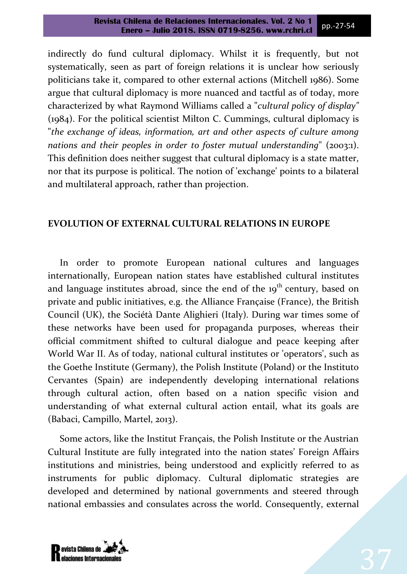indirectly do fund cultural diplomacy. Whilst it is frequently, but not systematically, seen as part of foreign relations it is unclear how seriously politicians take it, compared to other external actions (Mitchell 1986). Some argue that cultural diplomacy is more nuanced and tactful as of today, more characterized by what Raymond Williams called a "*cultural policy of display"* (1984). For the political scientist Milton C. Cummings, cultural diplomacy is "*the exchange of ideas, information, art and other aspects of culture among nations and their peoples in order to foster mutual understanding*" (2003:1). This definition does neither suggest that cultural diplomacy is a state matter, nor that its purpose is political. The notion of 'exchange' points to a bilateral and multilateral approach, rather than projection.

### **EVOLUTION OF EXTERNAL CULTURAL RELATIONS IN EUROPE**

In order to promote European national cultures and languages internationally, European nation states have established cultural institutes and language institutes abroad, since the end of the 19<sup>th</sup> century, based on private and public initiatives, e.g. the Alliance Française (France), the British Council (UK), the Sociétà Dante Alighieri (Italy). During war times some of these networks have been used for propaganda purposes, whereas their official commitment shifted to cultural dialogue and peace keeping after World War II. As of today, national cultural institutes or 'operators', such as the Goethe Institute (Germany), the Polish Institute (Poland) or the Instituto Cervantes (Spain) are independently developing international relations through cultural action, often based on a nation specific vision and understanding of what external cultural action entail, what its goals are (Babaci, Campillo, Martel, 2013).

Some actors, like the Institut Français, the Polish Institute or the Austrian Cultural Institute are fully integrated into the nation states' Foreign Affairs institutions and ministries, being understood and explicitly referred to as instruments for public diplomacy. Cultural diplomatic strategies are developed and determined by national governments and steered through national embassies and consulates across the world. Consequently, external

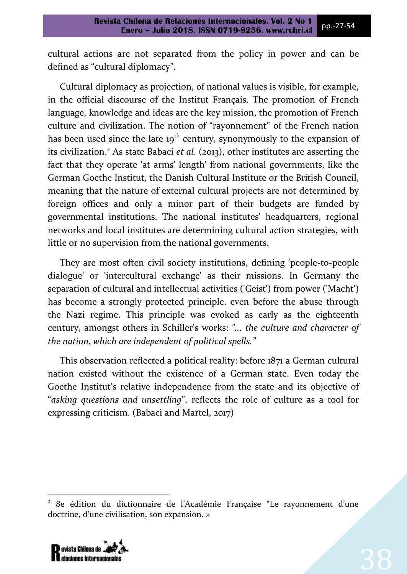cultural actions are not separated from the policy in power and can be defined as "cultural diplomacy".

Cultural diplomacy as projection, of national values is visible, for example, in the official discourse of the Institut Français. The promotion of French language, knowledge and ideas are the key mission, the promotion of French culture and civilization. The notion of "rayonnement" of the French nation has been used since the late  $19<sup>th</sup>$  century, synonymously to the expansion of its civilization.<sup>2</sup> As state Babaci *et al*. (2013), other institutes are asserting the fact that they operate 'at arms' length' from national governments, like the German Goethe Institut, the Danish Cultural Institute or the British Council, meaning that the nature of external cultural projects are not determined by foreign offices and only a minor part of their budgets are funded by governmental institutions. The national institutes' headquarters, regional networks and local institutes are determining cultural action strategies, with little or no supervision from the national governments.

They are most often civil society institutions, defining 'people-to-people dialogue' or 'intercultural exchange' as their missions. In Germany the separation of cultural and intellectual activities ('Geist') from power ('Macht') has become a strongly protected principle, even before the abuse through the Nazi regime. This principle was evoked as early as the eighteenth century, amongst others in Schiller's works: *"... the culture and character of the nation, which are independent of political spells."*

This observation reflected a political reality: before 1871 a German cultural nation existed without the existence of a German state. Even today the Goethe Institut's relative independence from the state and its objective of "*asking questions and unsettling*", reflects the role of culture as a tool for expressing criticism. (Babaci and Martel, 2017)

<sup>2</sup> 8e édition du dictionnaire de l'Académie Française "Le rayonnement d'une doctrine, d'une civilisation, son expansion. »



 $\overline{\phantom{a}}$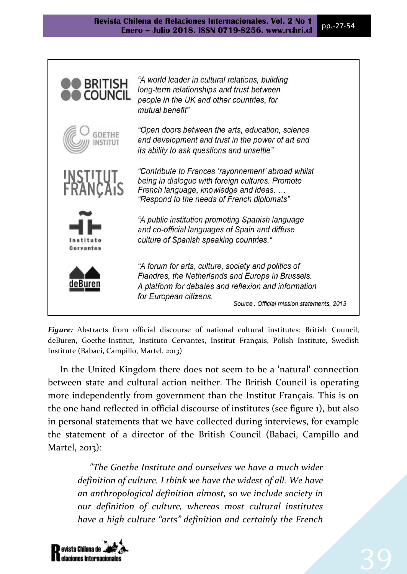

*Figure:* Abstracts from official discourse of national cultural institutes: British Council, deBuren, Goethe-Institut, Instituto Cervantes, Institut Français, Polish Institute, Swedish Institute (Babaci, Campillo, Martel, 2013)

In the United Kingdom there does not seem to be a 'natural' connection between state and cultural action neither. The British Council is operating more independently from government than the Institut Français. This is on the one hand reflected in official discourse of institutes (see figure 1), but also in personal statements that we have collected during interviews, for example the statement of a director of the British Council (Babaci, Campillo and Martel, 2013):

*"The Goethe Institute and ourselves we have a much wider definition of culture. I think we have the widest of all. We have an anthropological definition almost, so we include society in our definition of culture, whereas most cultural institutes have a high culture "arts" definition and certainly the French* 

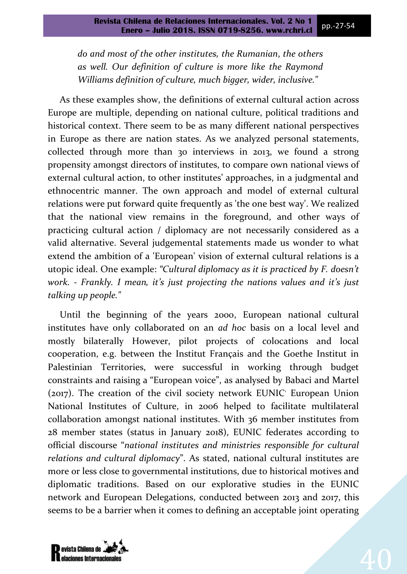*do and most of the other institutes, the Rumanian*, *the others as well. Our definition of culture is more like the Raymond Williams definition of culture, much bigger, wider, inclusive."*

As these examples show, the definitions of external cultural action across Europe are multiple, depending on national culture, political traditions and historical context. There seem to be as many different national perspectives in Europe as there are nation states. As we analyzed personal statements, collected through more than 30 interviews in 2013, we found a strong propensity amongst directors of institutes, to compare own national views of external cultural action, to other institutes' approaches, in a judgmental and ethnocentric manner. The own approach and model of external cultural relations were put forward quite frequently as 'the one best way'. We realized that the national view remains in the foreground, and other ways of practicing cultural action / diplomacy are not necessarily considered as a valid alternative. Several judgemental statements made us wonder to what extend the ambition of a 'European' vision of external cultural relations is a utopic ideal. One example: *"Cultural diplomacy as it is practiced by F. doesn't work. - Frankly. I mean, it's just projecting the nations values and it's just talking up people."*

Until the beginning of the years 2000, European national cultural institutes have only collaborated on an *ad hoc* basis on a local level and mostly bilaterally However, pilot projects of colocations and local cooperation, e.g. between the Institut Français and the Goethe Institut in Palestinian Territories, were successful in working through budget constraints and raising a "European voice", as analysed by Babaci and Martel (2017). The creation of the civil society network EUNIC<sup>,</sup> European Union National Institutes of Culture, in 2006 helped to facilitate multilateral collaboration amongst national institutes. With 36 member institutes from 28 member states (status in January 2018), EUNIC federates according to official discourse "*national institutes and ministries responsible for cultural relations and cultural diplomacy*". As stated, national cultural institutes are more or less close to governmental institutions, due to historical motives and diplomatic traditions. Based on our explorative studies in the EUNIC network and European Delegations, conducted between 2013 and 2017, this seems to be a barrier when it comes to defining an acceptable joint operating

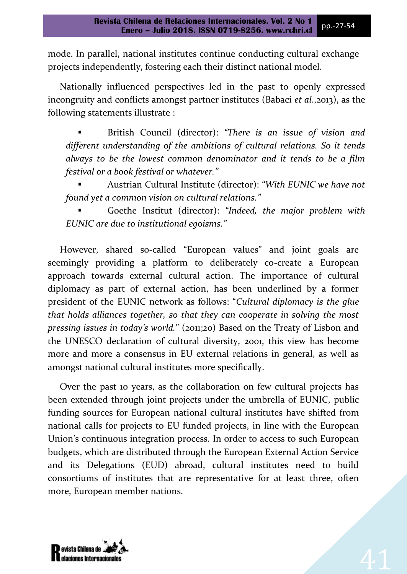mode. In parallel, national institutes continue conducting cultural exchange projects independently, fostering each their distinct national model.

Nationally influenced perspectives led in the past to openly expressed incongruity and conflicts amongst partner institutes (Babaci *et al*.,2013), as the following statements illustrate :

 British Council (director): *"There is an issue of vision and different understanding of the ambitions of cultural relations. So it tends always to be the lowest common denominator and it tends to be a film festival or a book festival or whatever."*

 Austrian Cultural Institute (director): *"With EUNIC we have not found yet a common vision on cultural relations."* 

 Goethe Institut (director): *"Indeed, the major problem with EUNIC are due to institutional egoisms."*

However, shared so-called "European values" and joint goals are seemingly providing a platform to deliberately co-create a European approach towards external cultural action. The importance of cultural diplomacy as part of external action, has been underlined by a former president of the EUNIC network as follows "*Cultural diplomacy is the glue that holds alliances together, so that they can cooperate in solving the most pressing issues in today's world.*" (2011;20) Based on the Treaty of Lisbon and the UNESCO declaration of cultural diversity, 2001, this view has become more and more a consensus in EU external relations in general, as well as amongst national cultural institutes more specifically.

Over the past 10 years, as the collaboration on few cultural projects has been extended through joint projects under the umbrella of EUNIC, public funding sources for European national cultural institutes have shifted from national calls for projects to EU funded projects, in line with the European Union's continuous integration process. In order to access to such European budgets, which are distributed through the European External Action Service and its Delegations (EUD) abroad, cultural institutes need to build consortiums of institutes that are representative for at least three, often more, European member nations.

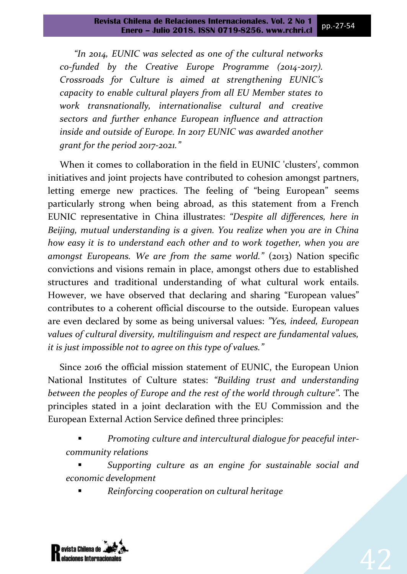*"In 2014, EUNIC was selected as one of the cultural networks co-funded by the Creative Europe Programme (2014-2017). Crossroads for Culture is aimed at strengthening EUNIC's capacity to enable cultural players from all EU Member states to work transnationally, internationalise cultural and creative sectors and further enhance European influence and attraction inside and outside of Europe. In 2017 EUNIC was awarded another grant for the period 2017-2021."*

When it comes to collaboration in the field in EUNIC 'clusters', common initiatives and joint projects have contributed to cohesion amongst partners, letting emerge new practices. The feeling of "being European" seems particularly strong when being abroad, as this statement from a French EUNIC representative in China illustrates: *"Despite all differences, here in Beijing, mutual understanding is a given. You realize when you are in China how easy it is to understand each other and to work together, when you are amongst Europeans. We are from the same world."* (2013) Nation specific convictions and visions remain in place, amongst others due to established structures and traditional understanding of what cultural work entails. However, we have observed that declaring and sharing "European values" contributes to a coherent official discourse to the outside. European values are even declared by some as being universal values: *"Yes, indeed, European values of cultural diversity, multilinguism and respect are fundamental values, it is just impossible not to agree on this type of values."*

Since 2016 the official mission statement of EUNIC, the European Union National Institutes of Culture states: *"Building trust and understanding between the peoples of Europe and the rest of the world through culture".* The principles stated in a joint declaration with the EU Commission and the European External Action Service defined three principles:

 *Promoting culture and intercultural dialogue for peaceful intercommunity relations*

 *Supporting culture as an engine for sustainable social and economic development*

*Reinforcing cooperation on cultural heritage*

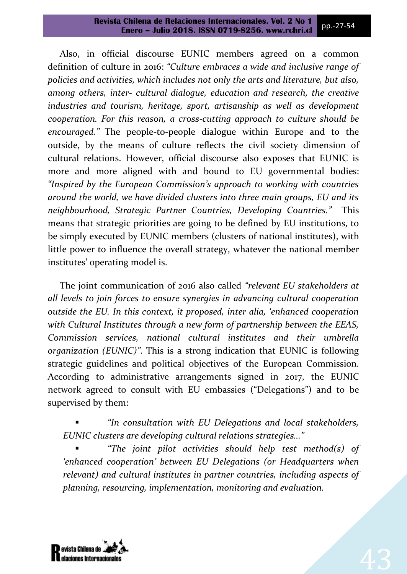Also, in official discourse EUNIC members agreed on a common definition of culture in 2016: *"Culture embraces a wide and inclusive range of policies and activities, which includes not only the arts and literature, but also, among others, inter- cultural dialogue, education and research, the creative industries and tourism, heritage, sport, artisanship as well as development cooperation. For this reason, a cross-cutting approach to culture should be encouraged."* The people-to-people dialogue within Europe and to the outside, by the means of culture reflects the civil society dimension of cultural relations. However, official discourse also exposes that EUNIC is more and more aligned with and bound to EU governmental bodies: *"Inspired by the European Commission's approach to working with countries around the world, we have divided clusters into three main groups, EU and its neighbourhood, Strategic Partner Countries, Developing Countries."* This means that strategic priorities are going to be defined by EU institutions, to be simply executed by EUNIC members (clusters of national institutes), with little power to influence the overall strategy, whatever the national member institutes' operating model is.

The joint communication of 2016 also called *"relevant EU stakeholders at all levels to join forces to ensure synergies in advancing cultural cooperation outside the EU. In this context, it proposed, inter alia, 'enhanced cooperation with Cultural Institutes through a new form of partnership between the EEAS, Commission services, national cultural institutes and their umbrella organization (EUNIC)"*. This is a strong indication that EUNIC is following strategic guidelines and political objectives of the European Commission. According to administrative arrangements signed in 2017, the EUNIC network agreed to consult with EU embassies ("Delegations") and to be supervised by them:

 *"In consultation with EU Delegations and local stakeholders, EUNIC clusters are developing cultural relations strategies…"*

 *"The joint pilot activities should help test method(s) of 'enhanced cooperation' between EU Delegations (or Headquarters when relevant) and cultural institutes in partner countries, including aspects of planning, resourcing, implementation, monitoring and evaluation.*

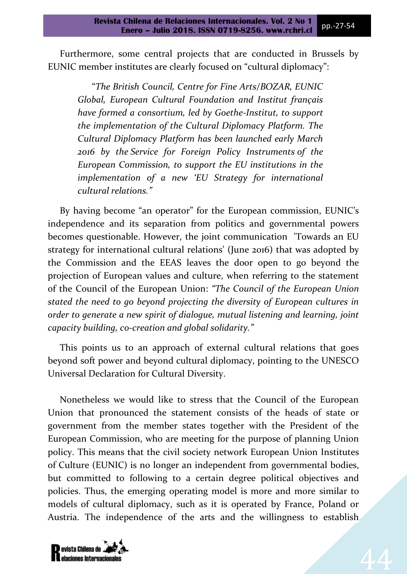Furthermore, some central projects that are conducted in Brussels by EUNIC member institutes are clearly focused on "cultural diplomacy"

"*The British Council, Centre for Fine Arts/BOZAR, EUNIC Global, European Cultural Foundation and Institut français have formed a consortium, led by Goethe-Institut, to support the implementation of the Cultural Diplomacy Platform. The Cultural Diplomacy Platform has been launched early March 2016 by the Service for Foreign Policy Instruments of the European Commission, to support the EU institutions in the implementation of a new 'EU Strategy for international cultural relations."*

By having become "an operator" for the European commission, EUNIC's independence and its separation from politics and governmental powers becomes questionable. However, the joint communication 'Towards an EU strategy for international cultural relations' (June 2016) that was adopted by the Commission and the EEAS leaves the door open to go beyond the projection of European values and culture, when referring to the statement of the Council of the European Union: *"The Council of the European Union stated the need to go beyond projecting the diversity of European cultures in order to generate a new spirit of dialogue, mutual listening and learning, joint capacity building, co-creation and global solidarity."*

This points us to an approach of external cultural relations that goes beyond soft power and beyond cultural diplomacy, pointing to the UNESCO Universal Declaration for Cultural Diversity.

Nonetheless we would like to stress that the Council of the European Union that pronounced the statement consists of the heads of state or government from the member states together with the President of the European Commission, who are meeting for the purpose of planning Union policy. This means that the civil society network European Union Institutes of Culture (EUNIC) is no longer an independent from governmental bodies, but committed to following to a certain degree political objectives and policies. Thus, the emerging operating model is more and more similar to models of cultural diplomacy, such as it is operated by France, Poland or Austria. The independence of the arts and the willingness to establish



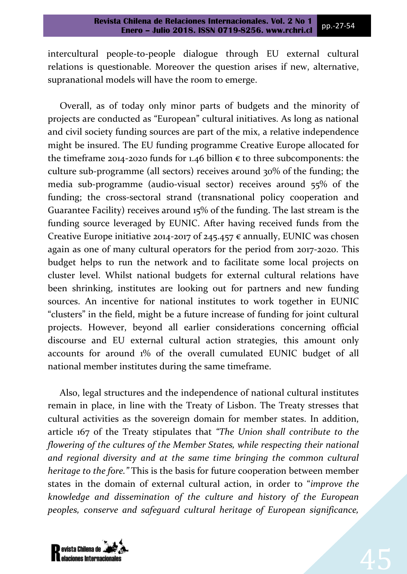intercultural people-to-people dialogue through EU external cultural relations is questionable. Moreover the question arises if new, alternative, supranational models will have the room to emerge.

Overall, as of today only minor parts of budgets and the minority of projects are conducted as "European" cultural initiatives. As long as national and civil society funding sources are part of the mix, a relative independence might be insured. The EU funding programme Creative Europe allocated for the timeframe 2014-2020 funds for 1.46 billion  $\epsilon$  to three subcomponents: the culture sub-programme (all sectors) receives around 30% of the funding; the media sub-programme (audio-visual sector) receives around 55% of the funding; the cross-sectoral strand (transnational policy cooperation and Guarantee Facility) receives around 15% of the funding. The last stream is the funding source leveraged by EUNIC. After having received funds from the Creative Europe initiative 2014-2017 of 245.457  $\epsilon$  annually, EUNIC was chosen again as one of many cultural operators for the period from 2017-2020. This budget helps to run the network and to facilitate some local projects on cluster level. Whilst national budgets for external cultural relations have been shrinking, institutes are looking out for partners and new funding sources. An incentive for national institutes to work together in EUNIC "clusters" in the field, might be a future increase of funding for joint cultural projects. However, beyond all earlier considerations concerning official discourse and EU external cultural action strategies, this amount only accounts for around 1% of the overall cumulated EUNIC budget of all national member institutes during the same timeframe.

Also, legal structures and the independence of national cultural institutes remain in place, in line with the Treaty of Lisbon. The Treaty stresses that cultural activities as the sovereign domain for member states. In addition, article 167 of the Treaty stipulates that *"The Union shall contribute to the flowering of the cultures of the Member States, while respecting their national and regional diversity and at the same time bringing the common cultural heritage to the fore."* This is the basis for future cooperation between member states in the domain of external cultural action in order to "*improve the knowledge and dissemination of the culture and history of the European peoples, conserve and safeguard cultural heritage of European significance,* 

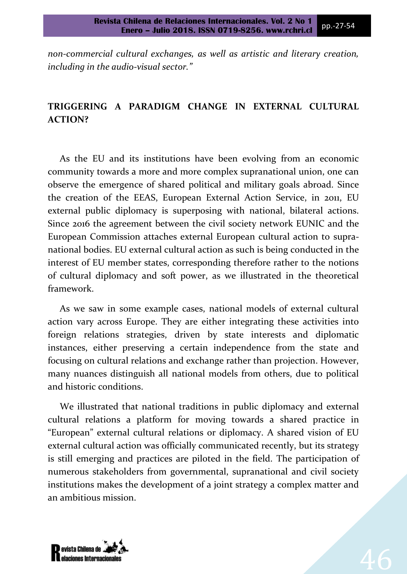*non-commercial cultural exchanges, as well as artistic and literary creation, including in the audio-visual sector."*

# **TRIGGERING A PARADIGM CHANGE IN EXTERNAL CULTURAL ACTION?**

As the EU and its institutions have been evolving from an economic community towards a more and more complex supranational union, one can observe the emergence of shared political and military goals abroad. Since the creation of the EEAS, European External Action Service, in 2011, EU external public diplomacy is superposing with national, bilateral actions. Since 2016 the agreement between the civil society network EUNIC and the European Commission attaches external European cultural action to supranational bodies. EU external cultural action as such is being conducted in the interest of EU member states, corresponding therefore rather to the notions of cultural diplomacy and soft power, as we illustrated in the theoretical framework.

As we saw in some example cases, national models of external cultural action vary across Europe. They are either integrating these activities into foreign relations strategies, driven by state interests and diplomatic instances, either preserving a certain independence from the state and focusing on cultural relations and exchange rather than projection. However, many nuances distinguish all national models from others, due to political and historic conditions.

We illustrated that national traditions in public diplomacy and external cultural relations a platform for moving towards a shared practice in "European" external cultural relations or diplomacy. A shared vision of EU external cultural action was officially communicated recently, but its strategy is still emerging and practices are piloted in the field. The participation of numerous stakeholders from governmental, supranational and civil society institutions makes the development of a joint strategy a complex matter and an ambitious mission.

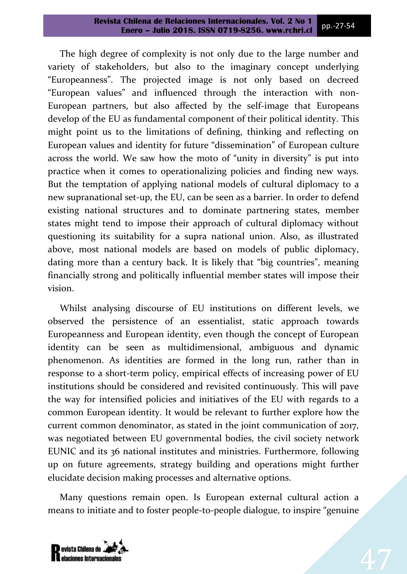The high degree of complexity is not only due to the large number and variety of stakeholders, but also to the imaginary concept underlying "Europeanness". The projected image is not only based on decreed "European values" and influenced through the interaction with non-European partners, but also affected by the self-image that Europeans develop of the EU as fundamental component of their political identity. This might point us to the limitations of defining, thinking and reflecting on European values and identity for future "dissemination" of European culture across the world. We saw how the moto of "unity in diversity" is put into practice when it comes to operationalizing policies and finding new ways. But the temptation of applying national models of cultural diplomacy to a new supranational set-up, the EU, can be seen as a barrier. In order to defend existing national structures and to dominate partnering states, member states might tend to impose their approach of cultural diplomacy without questioning its suitability for a supra national union. Also, as illustrated above, most national models are based on models of public diplomacy, dating more than a century back. It is likely that "big countries", meaning financially strong and politically influential member states will impose their vision.

Whilst analysing discourse of EU institutions on different levels, we observed the persistence of an essentialist, static approach towards Europeanness and European identity, even though the concept of European identity can be seen as multidimensional, ambiguous and dynamic phenomenon. As identities are formed in the long run, rather than in response to a short-term policy, empirical effects of increasing power of EU institutions should be considered and revisited continuously. This will pave the way for intensified policies and initiatives of the EU with regards to a common European identity. It would be relevant to further explore how the current common denominator, as stated in the joint communication of 2017, was negotiated between EU governmental bodies, the civil society network EUNIC and its 36 national institutes and ministries. Furthermore, following up on future agreements, strategy building and operations might further elucidate decision making processes and alternative options.

Many questions remain open. Is European external cultural action a means to initiate and to foster people-to-people dialogue, to inspire "genuine

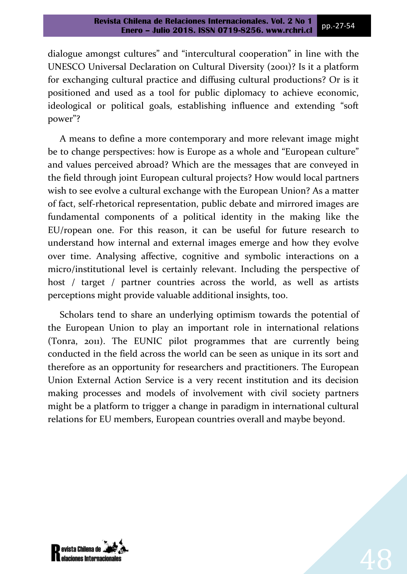dialogue amongst cultures" and "intercultural cooperation" in line with the UNESCO Universal Declaration on Cultural Diversity (2001)? Is it a platform for exchanging cultural practice and diffusing cultural productions? Or is it positioned and used as a tool for public diplomacy to achieve economic, ideological or political goals, establishing influence and extending "soft power"?

A means to define a more contemporary and more relevant image might be to change perspectives: how is Europe as a whole and "European culture" and values perceived abroad? Which are the messages that are conveyed in the field through joint European cultural projects? How would local partners wish to see evolve a cultural exchange with the European Union? As a matter of fact, self-rhetorical representation, public debate and mirrored images are fundamental components of a political identity in the making like the EU/ropean one. For this reason, it can be useful for future research to understand how internal and external images emerge and how they evolve over time. Analysing affective, cognitive and symbolic interactions on a micro/institutional level is certainly relevant. Including the perspective of host / target / partner countries across the world, as well as artists perceptions might provide valuable additional insights, too.

Scholars tend to share an underlying optimism towards the potential of the European Union to play an important role in international relations (Tonra, 2011). The EUNIC pilot programmes that are currently being conducted in the field across the world can be seen as unique in its sort and therefore as an opportunity for researchers and practitioners. The European Union External Action Service is a very recent institution and its decision making processes and models of involvement with civil society partners might be a platform to trigger a change in paradigm in international cultural relations for EU members, European countries overall and maybe beyond.

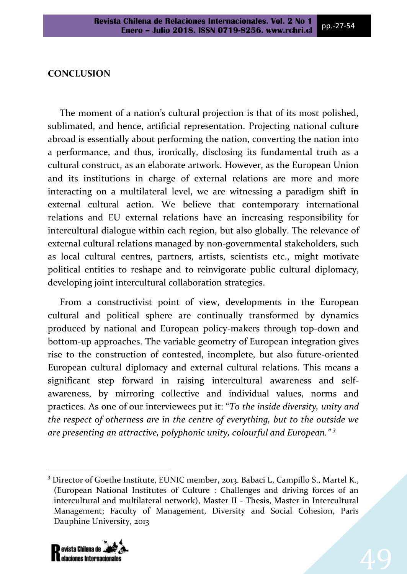#### **CONCLUSION**

The moment of a nation's cultural projection is that of its most polished, sublimated, and hence, artificial representation. Projecting national culture abroad is essentially about performing the nation, converting the nation into a performance, and thus, ironically, disclosing its fundamental truth as a cultural construct, as an elaborate artwork. However, as the European Union and its institutions in charge of external relations are more and more interacting on a multilateral level, we are witnessing a paradigm shift in external cultural action. We believe that contemporary international relations and EU external relations have an increasing responsibility for intercultural dialogue within each region, but also globally. The relevance of external cultural relations managed by non-governmental stakeholders, such as local cultural centres, partners, artists, scientists etc., might motivate political entities to reshape and to reinvigorate public cultural diplomacy, developing joint intercultural collaboration strategies.

From a constructivist point of view, developments in the European cultural and political sphere are continually transformed by dynamics produced by national and European policy-makers through top-down and bottom-up approaches. The variable geometry of European integration gives rise to the construction of contested, incomplete, but also future-oriented European cultural diplomacy and external cultural relations. This means a significant step forward in raising intercultural awareness and selfawareness, by mirroring collective and individual values, norms and practices. As one of our interviewees put it "*To the inside diversity, unity and the respect of otherness are in the centre of everything, but to the outside we are presenting an attractive, polyphonic unity, colourful and European." <sup>3</sup>*

<sup>&</sup>lt;sup>3</sup> Director of Goethe Institute, EUNIC member, 2013. Babaci L, Campillo S., Martel K., (European National Institutes of Culture : Challenges and driving forces of an intercultural and multilateral network), Master II - Thesis, Master in Intercultural Management; Faculty of Management, Diversity and Social Cohesion, Paris Dauphine University, 2013



 $\overline{\phantom{a}}$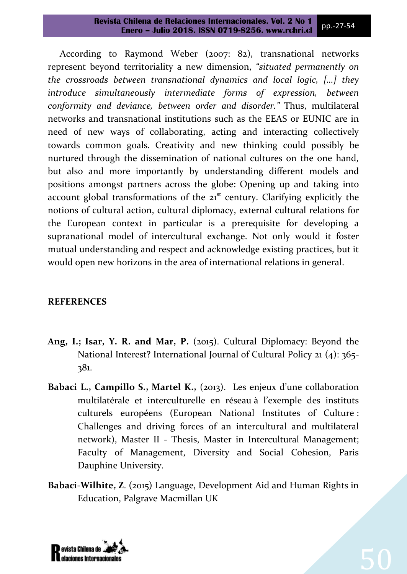According to Raymond Weber (2007: 82), transnational networks represent beyond territoriality a new dimension, *"situated permanently on the crossroads between transnational dynamics and local logic, […] they introduce simultaneously intermediate forms of expression, between conformity and deviance, between order and disorder."* Thus, multilateral networks and transnational institutions such as the EEAS or EUNIC are in need of new ways of collaborating, acting and interacting collectively towards common goals. Creativity and new thinking could possibly be nurtured through the dissemination of national cultures on the one hand, but also and more importantly by understanding different models and positions amongst partners across the globe: Opening up and taking into account global transformations of the  $21<sup>st</sup>$  century. Clarifying explicitly the notions of cultural action, cultural diplomacy, external cultural relations for the European context in particular is a prerequisite for developing a supranational model of intercultural exchange. Not only would it foster mutual understanding and respect and acknowledge existing practices, but it would open new horizons in the area of international relations in general.

## **REFERENCES**

- **Ang, I.; Isar, Y. R. and Mar, P.** (2015). Cultural Diplomacy: Beyond the National Interest? International Journal of Cultural Policy 21 (4): 365- 381.
- **Babaci L., Campillo S., Martel K.,** (2013). Les enjeux d'une collaboration multilatérale et interculturelle en réseau à l'exemple des instituts culturels européens (European National Institutes of Culture : Challenges and driving forces of an intercultural and multilateral network), Master II - Thesis, Master in Intercultural Management; Faculty of Management, Diversity and Social Cohesion, Paris Dauphine University.
- **Babaci-Wilhite, Z**. (2015) Language, Development Aid and Human Rights in Education, Palgrave Macmillan UK

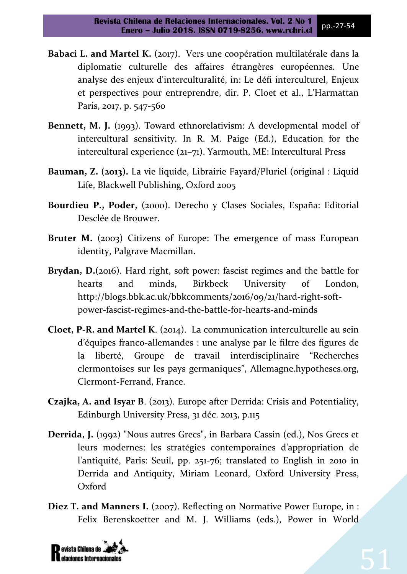- **Babaci L. and Martel K.** (2017). Vers une coopération multilatérale dans la diplomatie culturelle des affaires étrangères européennes. Une analyse des enjeux d'interculturalité, in: Le défi interculturel, Enjeux et perspectives pour entreprendre, dir. P. Cloet et al., L'Harmattan Paris, 2017, p. 547-560
- **Bennett, M. J.** (1993). Toward ethnorelativism: A developmental model of intercultural sensitivity. In R. M. Paige (Ed.), Education for the intercultural experience (21–71). Yarmouth, ME: Intercultural Press
- **Bauman, Z. (2013).** La vie liquide, Librairie Fayard/Pluriel (original : Liquid Life, Blackwell Publishing, Oxford 2005
- **Bourdieu P., Poder,** (2000). Derecho y Clases Sociales, España: Editorial Desclée de Brouwer.
- Bruter M. (2003) Citizens of Europe: The emergence of mass European identity, Palgrave Macmillan.
- **Brydan, D.**(2016). Hard right, soft power: fascist regimes and the battle for hearts and minds, Birkbeck University of London, http://blogs.bbk.ac.uk/bbkcomments/2016/09/21/hard-right-softpower-fascist-regimes-and-the-battle-for-hearts-and-minds
- **Cloet, P-R. and Martel K**. (2014). La communication interculturelle au sein d'équipes franco-allemandes : une analyse par le filtre des figures de la liberté, Groupe de travail interdisciplinaire "Recherches clermontoises sur les pays germaniques", Allemagne.hypotheses.org, Clermont-Ferrand, France.
- **Czajka, A. and Isyar B**. (2013). Europe after Derrida: Crisis and Potentiality, Edinburgh University Press, 31 déc. 2013, p.115
- **Derrida, J.** (1992) "Nous autres Grecs", in Barbara Cassin (ed.), Nos Grecs et leurs modernes: les stratégies contemporaines d'appropriation de l'antiquité, Paris: Seuil, pp. 251-76; translated to English in 2010 in Derrida and Antiquity, Miriam Leonard, Oxford University Press, Oxford
- **Diez T. and Manners I.** (2007). Reflecting on Normative Power Europe, in : Felix Berenskoetter and M. J. Williams (eds.), Power in World

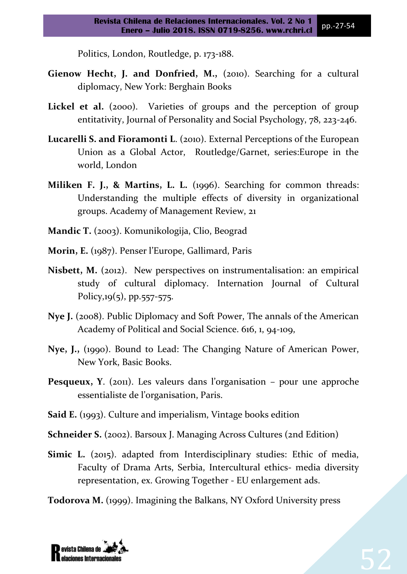Politics, London, Routledge, p. 173-188.

- **Gienow Hecht, J. and Donfried, M.,** (2010). Searching for a cultural diplomacy, New York: Berghain Books
- Lickel et al. (2000). Varieties of groups and the perception of group entitativity, Journal of Personality and Social Psychology, 78, 223-246.
- **Lucarelli S. and Fioramonti L**. (2010). External Perceptions of the European Union as a Global Actor, Routledge/Garnet, series:Europe in the world, London
- **Miliken F. J., & Martins, L. L.** (1996). Searching for common threads: Understanding the multiple effects of diversity in organizational groups. Academy of Management Review, 21
- **Mandic T.** (2003). Komunikologija, Clio, Beograd
- **Morin, E.** (1987). Penser l'Europe, Gallimard, Paris
- Nisbett, M. (2012). New perspectives on instrumentalisation: an empirical study of cultural diplomacy. Internation Journal of Cultural Policy,19(5), pp.557-575.
- **Nye J.** (2008). Public Diplomacy and Soft Power, The annals of the American Academy of Political and Social Science. 616, 1, 94-109,
- **Nye, J.,** (1990). Bound to Lead: The Changing Nature of American Power, New York, Basic Books.
- **Pesqueux, Y.** (2011). Les valeurs dans l'organisation pour une approche essentialiste de l'organisation, Paris.
- **Said E.** (1993). Culture and imperialism, Vintage books edition
- **[Schneider](http://www.amazon.com/Susan-C.-Schneider/e/B001ITPHUU/ref=dp_byline_cont_book_1) S.** (2002). [Barsoux](http://www.amazon.com/s/ref=dp_byline_sr_book_2?ie=UTF8&field-author=Jean-Louis+Barsoux&search-alias=books&text=Jean-Louis+Barsoux&sort=relevancerank) J. Managing Across Cultures (2nd Edition)
- **Simic L.** (2015). adapted from Interdisciplinary studies: Ethic of media, Faculty of Drama Arts, Serbia, Intercultural ethics- media diversity representation, ex. Growing Together - EU enlargement ads.

**Todorova M.** (1999). Imagining the Balkans, NY Oxford University press

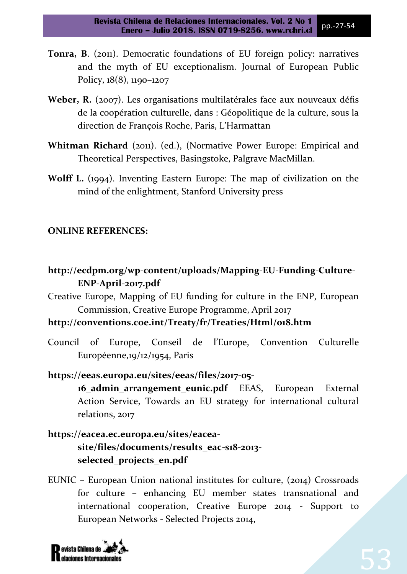- **Tonra, B**. (2011). Democratic foundations of EU foreign policy: narratives and the myth of EU exceptionalism. Journal of European Public Policy, 18(8), 1190–1207
- **Weber, R.** (2007). Les organisations multilatérales face aux nouveaux défis de la coopération culturelle, dans : Géopolitique de la culture, sous la direction de François Roche, Paris, L'Harmattan
- **Whitman Richard** (2011). (ed.), (Normative Power Europe: Empirical and Theoretical Perspectives, Basingstoke, Palgrave MacMillan.
- **Wolff L.** (1994). Inventing Eastern Europe: The map of civilization on the mind of the enlightment, Stanford University press

### **ONLINE REFERENCES:**

- **http://ecdpm.org/wp-content/uploads/Mapping-EU-Funding-Culture-ENP-April-2017.pdf**
- Creative Europe, Mapping of EU funding for culture in the ENP, European Commission, Creative Europe Programme, April 2017

## **http://conventions.coe.int/Treaty/fr/Treaties/Html/018.htm**

Council of Europe, Conseil de l'Europe, Convention Culturelle Européenne, 19/12/1954, Paris

**https://eeas.europa.eu/sites/eeas/files/2017-05- 16\_admin\_arrangement\_eunic.pdf** EEAS, European External Action Service, Towards an EU strategy for international cultural relations, 2017

- **https://eacea.ec.europa.eu/sites/eaceasite/files/documents/results\_eac-s18-2013 selected\_projects\_en.pdf**
- EUNIC European Union national institutes for culture, (2014) Crossroads for culture – enhancing EU member states transnational and international cooperation, Creative Europe 2014 - Support to European Networks - Selected Projects 2014,